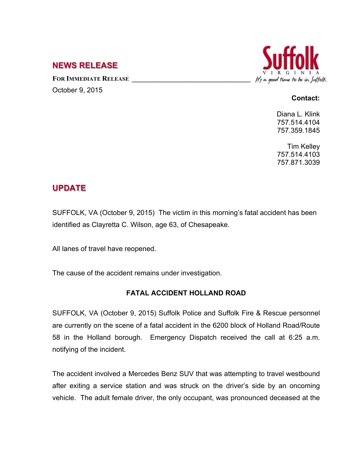## **NEWS RELEASE**

FOR **IMMEDIATE RELEASE** October 9, 2015



## **Contact:**

Diana L. Klink 757.514.4104 757.359.1845

Tim Kelley 757.514.4103 757.871.3039

## **UPDATE**

SUFFOLK, VA (October 9, 2015) The victim in this morning's fatal accident has been identified as Clayretta C. Wilson, age 63, of Chesapeake.

All lanes of travel have reopened.

The cause of the accident remains under investigation.

## **FATAL ACCIDENT HOLLAND ROAD**

SUFFOLK, VA (October 9, 2015) Suffolk Police and Suffolk Fire & Rescue personnel are currently on the scene of a fatal accident in the 6200 block of Holland Road/Route 58 in the Holland borough. Emergency Dispatch received the call at 6:25 a.m. notifying of the incident.

The accident involved a Mercedes Benz SUV that was attempting to travel westbound after exiting a service station and was struck on the driver's side by an oncoming vehicle. The adult female driver, the only occupant, was pronounced deceased at the